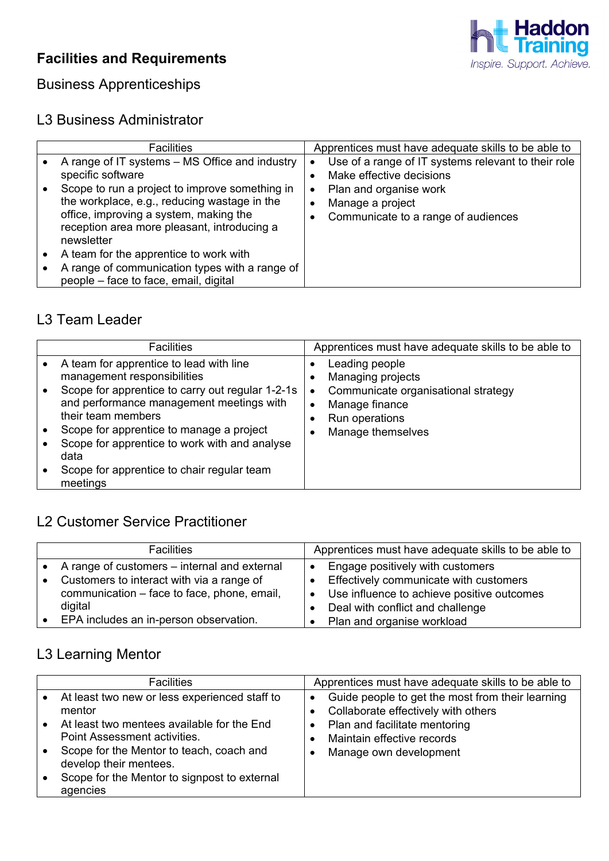# **Facilities and Requirements**



# Business Apprenticeships

#### L3 Business Administrator

| <b>Facilities</b>                                                                                                                                                                                     | Apprentices must have adequate skills to be able to                                                         |
|-------------------------------------------------------------------------------------------------------------------------------------------------------------------------------------------------------|-------------------------------------------------------------------------------------------------------------|
| A range of IT systems – MS Office and industry<br>specific software                                                                                                                                   | Use of a range of IT systems relevant to their role<br>Make effective decisions                             |
| Scope to run a project to improve something in<br>the workplace, e.g., reducing wastage in the<br>office, improving a system, making the<br>reception area more pleasant, introducing a<br>newsletter | Plan and organise work<br>$\bullet$<br>Manage a project<br>$\bullet$<br>Communicate to a range of audiences |
| A team for the apprentice to work with                                                                                                                                                                |                                                                                                             |
| A range of communication types with a range of<br>people - face to face, email, digital                                                                                                               |                                                                                                             |

#### L3 Team Leader

| <b>Facilities</b>                                                                                                                                                                                                                                                                                                                                           | Apprentices must have adequate skills to be able to                                                                                                   |
|-------------------------------------------------------------------------------------------------------------------------------------------------------------------------------------------------------------------------------------------------------------------------------------------------------------------------------------------------------------|-------------------------------------------------------------------------------------------------------------------------------------------------------|
| A team for apprentice to lead with line<br>management responsibilities<br>Scope for apprentice to carry out regular 1-2-1s<br>and performance management meetings with<br>their team members<br>Scope for apprentice to manage a project<br>Scope for apprentice to work with and analyse<br>data<br>Scope for apprentice to chair regular team<br>meetings | Leading people<br>Managing projects<br>Communicate organisational strategy<br>$\bullet$<br>Manage finance<br>٠<br>Run operations<br>Manage themselves |

### L2 Customer Service Practitioner

| <b>Facilities</b>                            | Apprentices must have adequate skills to be able to          |
|----------------------------------------------|--------------------------------------------------------------|
| A range of customers – internal and external | • Engage positively with customers                           |
| Customers to interact with via a range of    | • Effectively communicate with customers                     |
| communication - face to face, phone, email,  | Use influence to achieve positive outcomes<br>$\blacksquare$ |
| digital                                      | Deal with conflict and challenge                             |
| EPA includes an in-person observation.       | Plan and organise workload                                   |

# L3 Learning Mentor

| <b>Facilities</b>                                                                                                                                                                                                                                                       | Apprentices must have adequate skills to be able to                                                                                                                                           |
|-------------------------------------------------------------------------------------------------------------------------------------------------------------------------------------------------------------------------------------------------------------------------|-----------------------------------------------------------------------------------------------------------------------------------------------------------------------------------------------|
| At least two new or less experienced staff to<br>mentor<br>At least two mentees available for the End<br>Point Assessment activities.<br>Scope for the Mentor to teach, coach and<br>develop their mentees.<br>Scope for the Mentor to signpost to external<br>agencies | Guide people to get the most from their learning<br>$\bullet$<br>Collaborate effectively with others<br>Plan and facilitate mentoring<br>Maintain effective records<br>Manage own development |